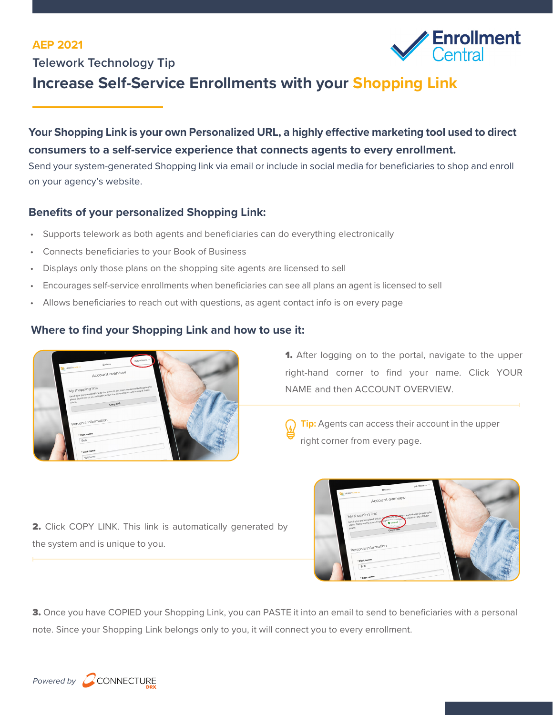#### **AEP 2021**





# **Increase Self-Service Enrollments with your Shopping Link**

## **Your Shopping Link is your own Personalized URL, a highly effective marketing tool used to direct consumers to a self-service experience that connects agents to every enrollment.**

Send your system-generated Shopping link via email or include in social media for beneficiaries to shop and enroll on your agency's website.

#### **Benefits of your personalized Shopping Link:**

- Supports telework as both agents and beneficiaries can do everything electronically
- Connects beneficiaries to your Book of Business
- Displays only those plans on the shopping site agents are licensed to sell
- Encourages self-service enrollments when beneficiaries can see all plans an agent is licensed to sell
- Allows beneficiaries to reach out with questions, as agent contact info is on every page

### **Where to find your Shopping Link and how to use it:**



1. After logging on to the portal, navigate to the upper right-hand corner to find your name. Click YOUR NAME and then ACCOUNT OVERVIEW.

**Tip:** Agents can access their account in the upper right corner from every page.

2. Click COPY LINK. This link is automatically generated by the system and is unique to you.



**3.** Once you have COPIED your Shopping Link, you can PASTE it into an email to send to beneficiaries with a personal note. Since your Shopping Link belongs only to you, it will connect you to every enrollment.